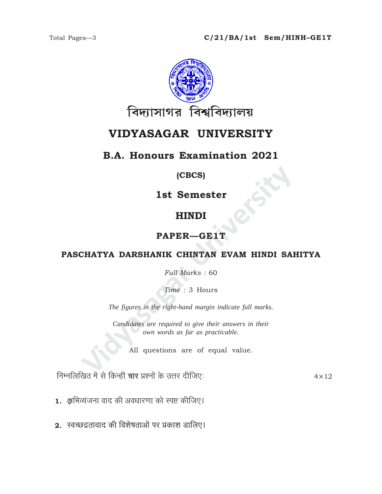

# VIDYASAGAR UNIVERSITY

## **B.A. Honours Examination 2021**

#### (CBCS)

1st Semester

## **HINDI**

## PAPER-GE1T

### PASCHATYA DARSHANIK CHINTAN EVAM HINDI SAHITYA

Full Marks: 60

Time: 3 Hours

The figures in the right-hand margin indicate full marks.

Candidates are required to give their answers in their own words as far as practicable.

All questions are of equal value.

निम्नलिखित में से किन्हीं चार प्रश्नों के उत्तर दीजिए:

 $4 \times 12$ 

- 1. क्षमिव्यंजना वाद की अवधारणा को स्पष्ट कीजिए।
- 2. स्वच्छद्रतावाद की विशेषताओं पर प्रकाश डालिए।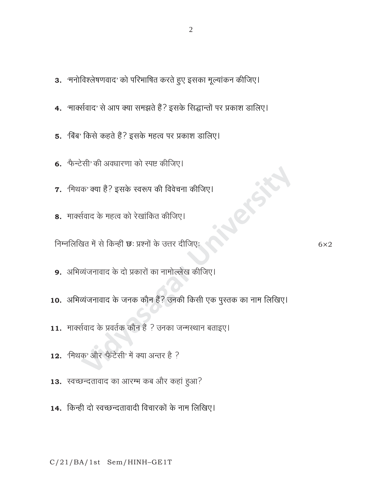$\overline{2}$ 

- 3. 'मनोविश्लेषणवाद' को परिभाषित करते हुए इसका मूल्यांकन कीजिए।
- 4. 'मार्क्सवाद' से आप क्या समझते हैं? इसके सिद्धान्तों पर प्रकाश डालिए।
- 5. बिंब' किसे कहते हैं? इसके महत्व पर प्रकाश डालिए।
- 6. फैन्टेसी' की अवधारणा को स्पष्ट कीजिए।
- 7. 'मिथक' क्या हैं? इसके स्वरूप की विवेचना कीजिए।
- 8. मार्क्सवाद के महत्व को रेखांकित कीजिए।

निम्नलिखित में से किन्हीं छः प्रश्नों के उत्तर दीजिए:

 $6\times2$ 

- 9. अभिव्यंजनावाद के दो प्रकारों का नामोल्लेख कीजिए।
- 10. अभिव्यंजनावाद के जनक कौन हैं? उनकी किसी एक पुस्तक का नाम लिखिए।
- 11. मार्क्सवाद के प्रवर्तक कौन हैं ? उनका जन्मस्थान बताइए।
- 12. मिथक' और फैंटेसी' में क्या अन्तर है ?
- 13. स्वच्छन्दतावाद का आरम्भ कब और कहां हुआ?
- 14. किन्ही दो स्वच्छन्दतावादी विचारकों के नाम लिखिए।

 $C/21/BA/1st$  Sem/HINH-GE1T